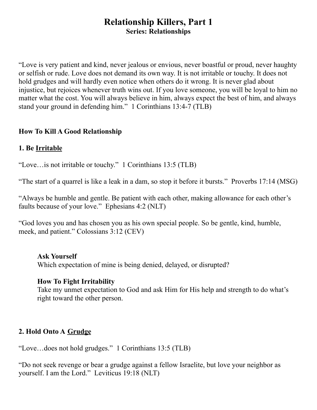# **Relationship Killers, Part 1 Series: Relationships**

"Love is very patient and kind, never jealous or envious, never boastful or proud, never haughty or selfish or rude. Love does not demand its own way. It is not irritable or touchy. It does not hold grudges and will hardly even notice when others do it wrong. It is never glad about injustice, but rejoices whenever truth wins out. If you love someone, you will be loyal to him no matter what the cost. You will always believe in him, always expect the best of him, and always stand your ground in defending him." 1 Corinthians 13:4-7 (TLB)

#### **How To Kill A Good Relationship**

### **1. Be Irritable**

"Love…is not irritable or touchy." 1 Corinthians 13:5 (TLB)

"The start of a quarrel is like a leak in a dam, so stop it before it bursts." Proverbs 17:14 (MSG)

"Always be humble and gentle. Be patient with each other, making allowance for each other's faults because of your love." Ephesians 4:2 (NLT)

"God loves you and has chosen you as his own special people. So be gentle, kind, humble, meek, and patient." Colossians 3:12 (CEV)

#### **Ask Yourself**

Which expectation of mine is being denied, delayed, or disrupted?

#### **How To Fight Irritability**

Take my unmet expectation to God and ask Him for His help and strength to do what's right toward the other person.

### **2. Hold Onto A Grudge**

"Love…does not hold grudges." 1 Corinthians 13:5 (TLB)

"Do not seek revenge or bear a grudge against a fellow Israelite, but love your neighbor as yourself. I am the Lord." Leviticus 19:18 (NLT)